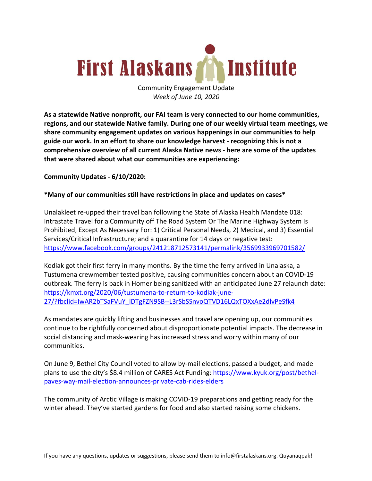# **The Institute First Alaskans**

Community Engagement Update *Week of June 10, 2020*

**As a statewide Native nonprofit, our FAI team is very connected to our home communities, regions, and our statewide Native family. During one of our weekly virtual team meetings, we share community engagement updates on various happenings in our communities to help guide our work. In an effort to share our knowledge harvest - recognizing this is not a comprehensive overview of all current Alaska Native news - here are some of the updates that were shared about what our communities are experiencing:**

**Community Updates - 6/10/2020:**

#### **\*Many of our communities still have restrictions in place and updates on cases\***

Unalakleet re-upped their travel ban following the State of Alaska Health Mandate 018: Intrastate Travel for a Community off The Road System Or The Marine Highway System Is Prohibited, Except As Necessary For: 1) Critical Personal Needs, 2) Medical, and 3) Essential Services/Critical Infrastructure; and a quarantine for 14 days or negative test: https://www.facebook.com/groups/241218712573141/permalink/3569933969701582/

Kodiak got their first ferry in many months. By the time the ferry arrived in Unalaska, a Tustumena crewmember tested positive, causing communities concern about an COVID-19 outbreak. The ferry is back in Homer being sanitized with an anticipated June 27 relaunch date: https://kmxt.org/2020/06/tustumena-to-return-to-kodiak-june-27/?fbclid=IwAR2bTSaFVuY\_lDTgFZN9SB--L3rSbSSnvoQTVD16LQxTOXxAe2dlvPeSfk4

As mandates are quickly lifting and businesses and travel are opening up, our communities continue to be rightfully concerned about disproportionate potential impacts. The decrease in social distancing and mask-wearing has increased stress and worry within many of our communities.

On June 9, Bethel City Council voted to allow by-mail elections, passed a budget, and made plans to use the city's \$8.4 million of CARES Act Funding: https://www.kyuk.org/post/bethelpaves-way-mail-election-announces-private-cab-rides-elders

The community of Arctic Village is making COVID-19 preparations and getting ready for the winter ahead. They've started gardens for food and also started raising some chickens.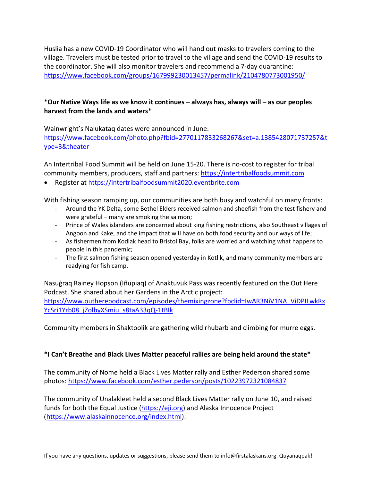Huslia has a new COVID-19 Coordinator who will hand out masks to travelers coming to the village. Travelers must be tested prior to travel to the village and send the COVID-19 results to the coordinator. She will also monitor travelers and recommend a 7-day quarantine: https://www.facebook.com/groups/167999230013457/permalink/2104780773001950/

## **\*Our Native Ways life as we know it continues – always has, always will – as our peoples harvest from the lands and waters\***

Wainwright's Nalukataq dates were announced in June:

https://www.facebook.com/photo.php?fbid=2770117833268267&set=a.1385428071737257&t ype=3&theater

An Intertribal Food Summit will be held on June 15-20. There is no-cost to register for tribal community members, producers, staff and partners: https://intertribalfoodsummit.com

• Register at https://intertribalfoodsummit2020.eventbrite.com

With fishing season ramping up, our communities are both busy and watchful on many fronts:

- Around the YK Delta, some Bethel Elders received salmon and sheefish from the test fishery and were grateful – many are smoking the salmon;
- Prince of Wales islanders are concerned about king fishing restrictions, also Southeast villages of Angoon and Kake, and the impact that will have on both food security and our ways of life;
- As fishermen from Kodiak head to Bristol Bay, folks are worried and watching what happens to people in this pandemic;
- The first salmon fishing season opened yesterday in Kotlik, and many community members are readying for fish camp.

Nasuġraq Rainey Hopson (Iñupiaq) of Anaktuvuk Pass was recently featured on the Out Here Podcast. She shared about her Gardens in the Arctic project:

https://www.outherepodcast.com/episodes/themixingzone?fbclid=IwAR3NiV1NA\_ViDPILwkRx YcSri1Yrb08\_jZolbyXSmiu\_s8taA33qQ-1tBlk

Community members in Shaktoolik are gathering wild rhubarb and climbing for murre eggs.

## **\*I Can't Breathe and Black Lives Matter peaceful rallies are being held around the state\***

The community of Nome held a Black Lives Matter rally and Esther Pederson shared some photos: https://www.facebook.com/esther.pederson/posts/10223972321084837

The community of Unalakleet held a second Black Lives Matter rally on June 10, and raised funds for both the Equal Justice (https://eji.org) and Alaska Innocence Project (https://www.alaskainnocence.org/index.html):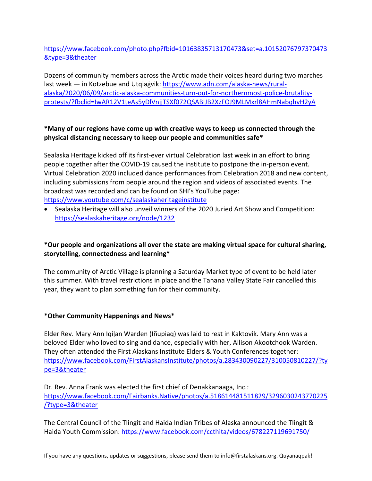https://www.facebook.com/photo.php?fbid=10163835713170473&set=a.10152076797370473 &type=3&theater

Dozens of community members across the Arctic made their voices heard during two marches last week — in Kotzebue and Utqiaġvik: https://www.adn.com/alaska-news/ruralalaska/2020/06/09/arctic-alaska-communities-turn-out-for-northernmost-police-brutalityprotests/?fbclid=IwAR12V1teAs5yDlVnjjTSXf072QSABlJB2XzFOJ9MLMxrl8AHmNabqhvH2yA

## **\*Many of our regions have come up with creative ways to keep us connected through the physical distancing necessary to keep our people and communities safe\***

Sealaska Heritage kicked off its first-ever virtual Celebration last week in an effort to bring people together after the COVID-19 caused the institute to postpone the in-person event. Virtual Celebration 2020 included dance performances from Celebration 2018 and new content, including submissions from people around the region and videos of associated events. The broadcast was recorded and can be found on SHI's YouTube page: https://www.youtube.com/c/sealaskaheritageinstitute

• Sealaska Heritage will also unveil winners of the 2020 Juried Art Show and Competition: https://sealaskaheritage.org/node/1232

## **\*Our people and organizations all over the state are making virtual space for cultural sharing, storytelling, connectedness and learning\***

The community of Arctic Village is planning a Saturday Market type of event to be held later this summer. With travel restrictions in place and the Tanana Valley State Fair cancelled this year, they want to plan something fun for their community.

#### **\*Other Community Happenings and News\***

Elder Rev. Mary Ann Iqiḷan Warden (Iñupiaq) was laid to rest in Kaktovik. Mary Ann was a beloved Elder who loved to sing and dance, especially with her, Allison Akootchook Warden. They often attended the First Alaskans Institute Elders & Youth Conferences together: https://www.facebook.com/FirstAlaskansInstitute/photos/a.283430090227/310050810227/?ty pe=3&theater

Dr. Rev. Anna Frank was elected the first chief of Denakkanaaga, Inc.: https://www.facebook.com/Fairbanks.Native/photos/a.518614481511829/3296030243770225 /?type=3&theater

The Central Council of the Tlingit and Haida Indian Tribes of Alaska announced the Tlingit & Haida Youth Commission: https://www.facebook.com/ccthita/videos/678227119691750/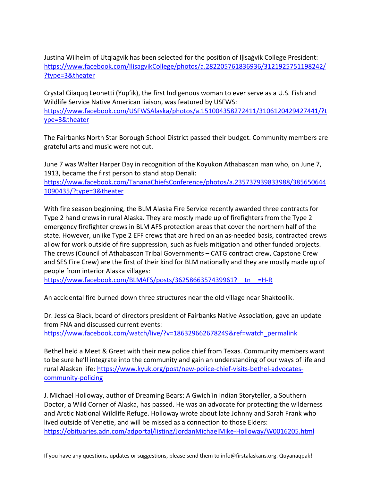Justina Wilhelm of Utqiaġvik has been selected for the position of Iḷisaġvik College President: https://www.facebook.com/IlisagvikCollege/photos/a.282205761836936/3121925751198242/ ?type=3&theater

Crystal Ciiaquq Leonetti (Yup'ik), the first Indigenous woman to ever serve as a U.S. Fish and Wildlife Service Native American liaison, was featured by USFWS: https://www.facebook.com/USFWSAlaska/photos/a.151004358272411/3106120429427441/?t ype=3&theater

The Fairbanks North Star Borough School District passed their budget. Community members are grateful arts and music were not cut.

June 7 was Walter Harper Day in recognition of the Koyukon Athabascan man who, on June 7, 1913, became the first person to stand atop Denali: https://www.facebook.com/TananaChiefsConference/photos/a.235737939833988/385650644 1090435/?type=3&theater

With fire season beginning, the BLM Alaska Fire Service recently awarded three contracts for Type 2 hand crews in rural Alaska. They are mostly made up of firefighters from the Type 2 emergency firefighter crews in BLM AFS protection areas that cover the northern half of the state. However, unlike Type 2 EFF crews that are hired on an as-needed basis, contracted crews allow for work outside of fire suppression, such as fuels mitigation and other funded projects. The crews (Council of Athabascan Tribal Governments – CATG contract crew, Capstone Crew and SES Fire Crew) are the first of their kind for BLM nationally and they are mostly made up of people from interior Alaska villages:

https://www.facebook.com/BLMAFS/posts/3625866357439961? tn =H-R

An accidental fire burned down three structures near the old village near Shaktoolik.

Dr. Jessica Black, board of directors president of Fairbanks Native Association, gave an update from FNA and discussed current events:

https://www.facebook.com/watch/live/?v=186329662678249&ref=watch\_permalink

Bethel held a Meet & Greet with their new police chief from Texas. Community members want to be sure he'll integrate into the community and gain an understanding of our ways of life and rural Alaskan life: https://www.kyuk.org/post/new-police-chief-visits-bethel-advocatescommunity-policing

J. Michael Holloway, author of Dreaming Bears: A Gwich'in Indian Storyteller, a Southern Doctor, a Wild Corner of Alaska, has passed. He was an advocate for protecting the wilderness and Arctic National Wildlife Refuge. Holloway wrote about late Johnny and Sarah Frank who lived outside of Venetie, and will be missed as a connection to those Elders: https://obituaries.adn.com/adportal/listing/JordanMichaelMike-Holloway/W0016205.html